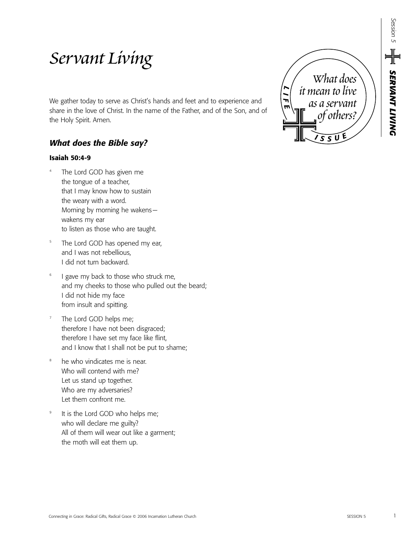# *Servant Living*

We gather today to serve as Christ's hands and feet and to experience and share in the love of Christ. In the name of the Father, and of the Son, and of the Holy Spirit. Amen.

## *What does the Bible say?*

## **Isaiah 50:4-9**

- The Lord GOD has given me the tongue of a teacher, that I may know how to sustain the weary with a word. Morning by morning he wakens wakens my ear to listen as those who are taught.
- <sup>5</sup> The Lord GOD has opened my ear, and I was not rebellious, I did not turn backward.
- I gave my back to those who struck me, and my cheeks to those who pulled out the beard; I did not hide my face from insult and spitting.
- The Lord GOD helps me; therefore I have not been disgraced; therefore I have set my face like flint, and I know that I shall not be put to shame;
- <sup>8</sup> he who vindicates me is near. Who will contend with me? Let us stand up together. Who are my adversaries? Let them confront me.
- <sup>9</sup> It is the Lord GOD who helps me; who will declare me guilty? All of them will wear out like a garment; the moth will eat them up.



*SERVANT LIVING* 

**HE SERVANT LIVING** 

ession 5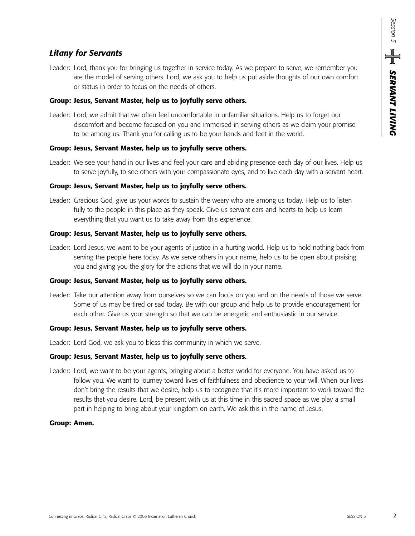## *Litany for Servants*

Leader: Lord, thank you for bringing us together in service today. As we prepare to serve, we remember you are the model of serving others. Lord, we ask you to help us put aside thoughts of our own comfort or status in order to focus on the needs of others.

#### **Group: Jesus, Servant Master, help us to joyfully serve others.**

Leader: Lord, we admit that we often feel uncomfortable in unfamiliar situations. Help us to forget our discomfort and become focused on you and immersed in serving others as we claim your promise to be among us. Thank you for calling us to be your hands and feet in the world.

## **Group: Jesus, Servant Master, help us to joyfully serve others.**

Leader: We see your hand in our lives and feel your care and abiding presence each day of our lives. Help us to serve joyfully, to see others with your compassionate eyes, and to live each day with a servant heart.

#### **Group: Jesus, Servant Master, help us to joyfully serve others.**

Leader: Gracious God, give us your words to sustain the weary who are among us today. Help us to listen fully to the people in this place as they speak. Give us servant ears and hearts to help us learn everything that you want us to take away from this experience.

#### **Group: Jesus, Servant Master, help us to joyfully serve others.**

Leader: Lord Jesus, we want to be your agents of justice in a hurting world. Help us to hold nothing back from serving the people here today. As we serve others in your name, help us to be open about praising you and giving you the glory for the actions that we will do in your name.

## **Group: Jesus, Servant Master, help us to joyfully serve others.**

Leader: Take our attention away from ourselves so we can focus on you and on the needs of those we serve. Some of us may be tired or sad today. Be with our group and help us to provide encouragement for each other. Give us your strength so that we can be energetic and enthusiastic in our service.

#### **Group: Jesus, Servant Master, help us to joyfully serve others.**

Leader: Lord God, we ask you to bless this community in which we serve.

#### **Group: Jesus, Servant Master, help us to joyfully serve others.**

Leader: Lord, we want to be your agents, bringing about a better world for everyone. You have asked us to follow you. We want to journey toward lives of faithfulness and obedience to your will. When our lives don't bring the results that we desire, help us to recognize that it's more important to work toward the results that you desire. Lord, be present with us at this time in this sacred space as we play a small part in helping to bring about your kingdom on earth. We ask this in the name of Jesus.

#### **Group: Amen.**